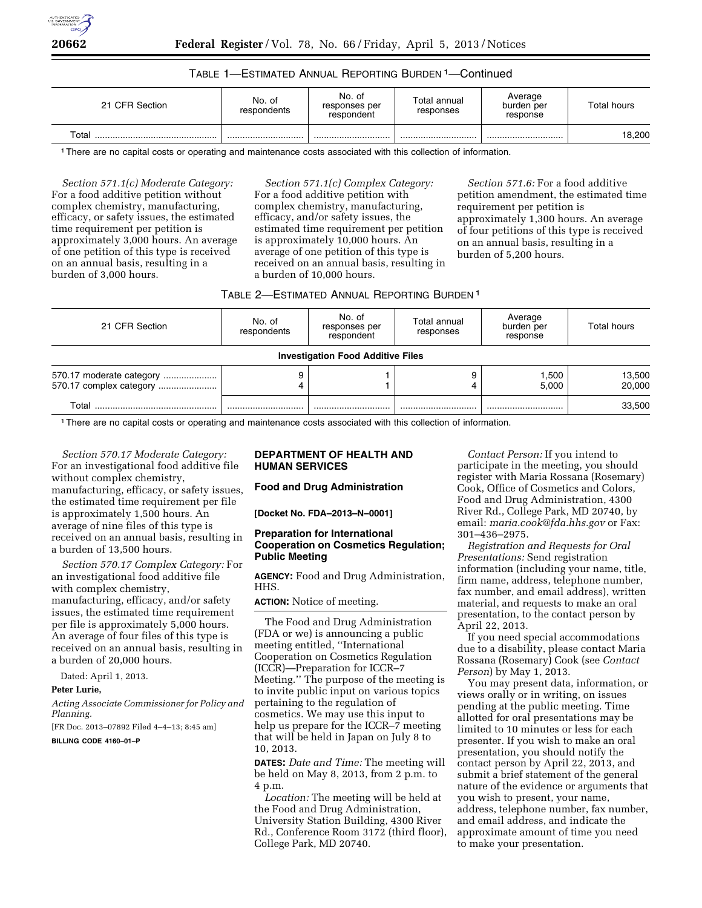

# TABLE 1—ESTIMATED ANNUAL REPORTING BURDEN 1—Continued

| 21 CFR Section | No. of<br>respondents | No. of<br>responses per<br>respondent | Total annual<br>responses | Average<br>burden per<br>response | Total hours |
|----------------|-----------------------|---------------------------------------|---------------------------|-----------------------------------|-------------|
| Total          |                       |                                       |                           |                                   | 18,200      |

1There are no capital costs or operating and maintenance costs associated with this collection of information.

*Section 571.1(c) Moderate Category:*  For a food additive petition without complex chemistry, manufacturing, efficacy, or safety issues, the estimated time requirement per petition is approximately 3,000 hours. An average of one petition of this type is received on an annual basis, resulting in a burden of 3,000 hours.

*Section 571.1(c) Complex Category:*  For a food additive petition with complex chemistry, manufacturing, efficacy, and/or safety issues, the estimated time requirement per petition is approximately 10,000 hours. An average of one petition of this type is received on an annual basis, resulting in a burden of 10,000 hours.

*Section 571.6:* For a food additive petition amendment, the estimated time requirement per petition is approximately 1,300 hours. An average of four petitions of this type is received on an annual basis, resulting in a burden of 5,200 hours.

### TABLE 2—ESTIMATED ANNUAL REPORTING BURDEN 1

| 21 CFR Section                                      | No. of<br>respondents | No. of<br>responses per<br>respondent    | Total annual<br>responses | Average<br>burden per<br>response | Total hours      |
|-----------------------------------------------------|-----------------------|------------------------------------------|---------------------------|-----------------------------------|------------------|
|                                                     |                       | <b>Investigation Food Additive Files</b> |                           |                                   |                  |
| 570.17 moderate category<br>570.17 complex category |                       |                                          |                           | 1.500<br>5.000                    | 13,500<br>20,000 |
| Total                                               |                       |                                          |                           |                                   | 33.500           |

1There are no capital costs or operating and maintenance costs associated with this collection of information.

*Section 570.17 Moderate Category:*  For an investigational food additive file without complex chemistry, manufacturing, efficacy, or safety issues, the estimated time requirement per file is approximately 1,500 hours. An average of nine files of this type is received on an annual basis, resulting in a burden of 13,500 hours.

*Section 570.17 Complex Category:* For an investigational food additive file with complex chemistry, manufacturing, efficacy, and/or safety issues, the estimated time requirement per file is approximately 5,000 hours. An average of four files of this type is received on an annual basis, resulting in a burden of 20,000 hours.

Dated: April 1, 2013.

### **Peter Lurie,**

*Acting Associate Commissioner for Policy and Planning.* 

[FR Doc. 2013–07892 Filed 4–4–13; 8:45 am]

#### **BILLING CODE 4160–01–P**

# **DEPARTMENT OF HEALTH AND HUMAN SERVICES**

#### **Food and Drug Administration**

**[Docket No. FDA–2013–N–0001]** 

# **Preparation for International Cooperation on Cosmetics Regulation; Public Meeting**

**AGENCY:** Food and Drug Administration, HHS.

#### **ACTION:** Notice of meeting.

The Food and Drug Administration (FDA or we) is announcing a public meeting entitled, ''International Cooperation on Cosmetics Regulation (ICCR)—Preparation for ICCR–7 Meeting.'' The purpose of the meeting is to invite public input on various topics pertaining to the regulation of cosmetics. We may use this input to help us prepare for the ICCR–7 meeting that will be held in Japan on July 8 to 10, 2013.

**DATES:** *Date and Time:* The meeting will be held on May 8, 2013, from 2 p.m. to 4 p.m.

*Location:* The meeting will be held at the Food and Drug Administration, University Station Building, 4300 River Rd., Conference Room 3172 (third floor), College Park, MD 20740.

*Contact Person:* If you intend to participate in the meeting, you should register with Maria Rossana (Rosemary) Cook, Office of Cosmetics and Colors, Food and Drug Administration, 4300 River Rd., College Park, MD 20740, by email: *[maria.cook@fda.hhs.gov](mailto:maria.cook@fda.hhs.gov)* or Fax: 301–436–2975.

*Registration and Requests for Oral Presentations:* Send registration information (including your name, title, firm name, address, telephone number, fax number, and email address), written material, and requests to make an oral presentation, to the contact person by April 22, 2013.

If you need special accommodations due to a disability, please contact Maria Rossana (Rosemary) Cook (see *Contact Person*) by May 1, 2013.

You may present data, information, or views orally or in writing, on issues pending at the public meeting. Time allotted for oral presentations may be limited to 10 minutes or less for each presenter. If you wish to make an oral presentation, you should notify the contact person by April 22, 2013, and submit a brief statement of the general nature of the evidence or arguments that you wish to present, your name, address, telephone number, fax number, and email address, and indicate the approximate amount of time you need to make your presentation.